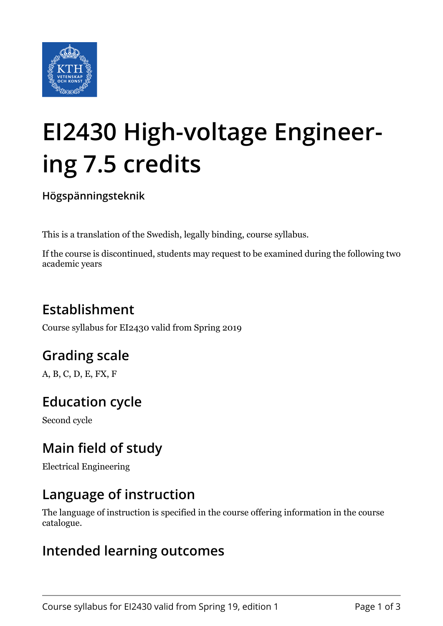

# **EI2430 High-voltage Engineering 7.5 credits**

**Högspänningsteknik**

This is a translation of the Swedish, legally binding, course syllabus.

If the course is discontinued, students may request to be examined during the following two academic years

# **Establishment**

Course syllabus for EI2430 valid from Spring 2019

# **Grading scale**

A, B, C, D, E, FX, F

### **Education cycle**

Second cycle

### **Main field of study**

Electrical Engineering

### **Language of instruction**

The language of instruction is specified in the course offering information in the course catalogue.

### **Intended learning outcomes**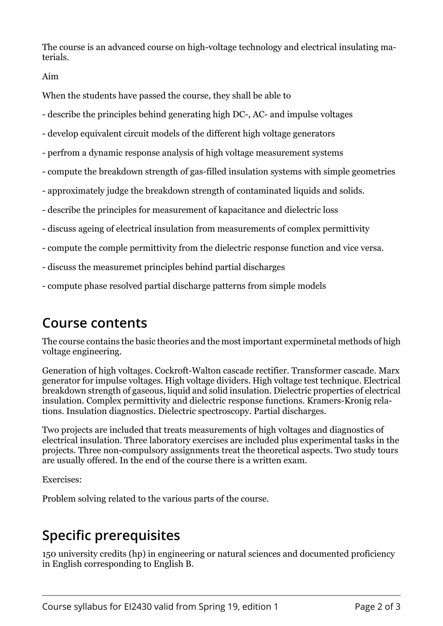The course is an advanced course on high-voltage technology and electrical insulating materials.

#### Aim

When the students have passed the course, they shall be able to

- describe the principles behind generating high DC-, AC- and impulse voltages
- develop equivalent circuit models of the different high voltage generators
- perfrom a dynamic response analysis of high voltage measurement systems
- compute the breakdown strength of gas-filled insulation systems with simple geometries
- approximately judge the breakdown strength of contaminated liquids and solids.
- describe the principles for measurement of kapacitance and dielectric loss
- discuss ageing of electrical insulation from measurements of complex permittivity
- compute the comple permittivity from the dielectric response function and vice versa.
- discuss the measuremet principles behind partial discharges
- compute phase resolved partial discharge patterns from simple models

### **Course contents**

The course contains the basic theories and the most important experminetal methods of high voltage engineering.

Generation of high voltages. Cockroft-Walton cascade rectifier. Transformer cascade. Marx generator for impulse voltages. High voltage dividers. High voltage test technique. Electrical breakdown strength of gaseous, liquid and solid insulation. Dielectric properties of electrical insulation. Complex permittivity and dielectric response functions. Kramers-Kronig relations. Insulation diagnostics. Dielectric spectroscopy. Partial discharges.

Two projects are included that treats measurements of high voltages and diagnostics of electrical insulation. Three laboratory exercises are included plus experimental tasks in the projects. Three non-compulsory assignments treat the theoretical aspects. Two study tours are usually offered. In the end of the course there is a written exam.

Exercises:

Problem solving related to the various parts of the course.

### **Specific prerequisites**

150 university credits (hp) in engineering or natural sciences and documented proficiency in English corresponding to English B.